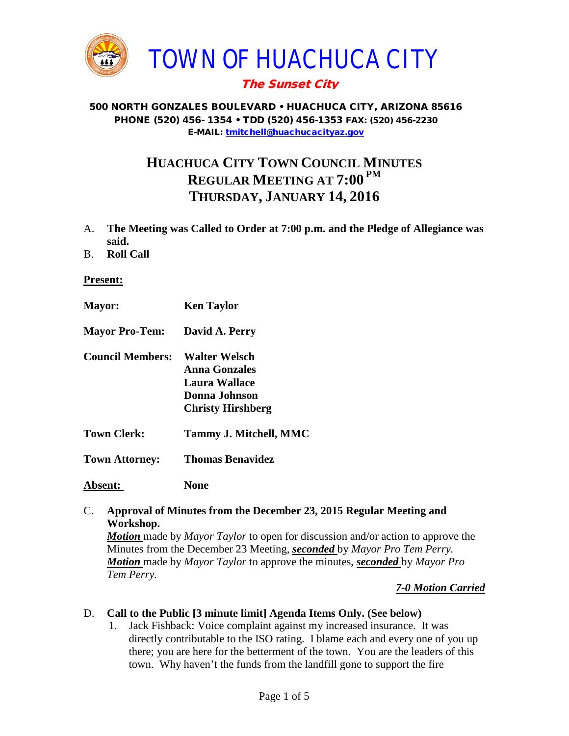

# The Sunset City

#### 500 NORTH GONZALES BOULEVARD • HUACHUCA CITY, ARIZONA 85616 PHONE (520) 456- 1354 • TDD (520) 456-1353 FAX: (520) 456-2230 E-MAIL: [tmitchell@huachucacityaz.gov](mailto:tmitchell@huachucacityaz.gov)

# **HUACHUCA CITY TOWN COUNCIL MINUTES REGULAR MEETING AT 7:00 PM THURSDAY, JANUARY 14, 2016**

- A. **The Meeting was Called to Order at 7:00 p.m. and the Pledge of Allegiance was said.**
- B. **Roll Call**

#### **Present:**

| <b>Mayor:</b>           | <b>Ken Taylor</b>                                                                            |
|-------------------------|----------------------------------------------------------------------------------------------|
| <b>Mayor Pro-Tem:</b>   | David A. Perry                                                                               |
| <b>Council Members:</b> | Walter Welsch<br>Anna Gonzales<br>Laura Wallace<br>Donna Johnson<br><b>Christy Hirshberg</b> |
| <b>Town Clerk:</b>      | <b>Tammy J. Mitchell, MMC</b>                                                                |
| <b>Town Attorney:</b>   | <b>Thomas Benavidez</b>                                                                      |
| <b>Absent:</b>          | None                                                                                         |

#### C. **Approval of Minutes from the December 23, 2015 Regular Meeting and Workshop.**

*Motion* made by *Mayor Taylor* to open for discussion and/or action to approve the Minutes from the December 23 Meeting, *seconded* by *Mayor Pro Tem Perry. Motion* made by *Mayor Taylor* to approve the minutes, *seconded* by *Mayor Pro Tem Perry.*

## *7-0 Motion Carried*

#### D. **Call to the Public [3 minute limit] Agenda Items Only. (See below)**

1. Jack Fishback: Voice complaint against my increased insurance. It was directly contributable to the ISO rating. I blame each and every one of you up there; you are here for the betterment of the town. You are the leaders of this town. Why haven't the funds from the landfill gone to support the fire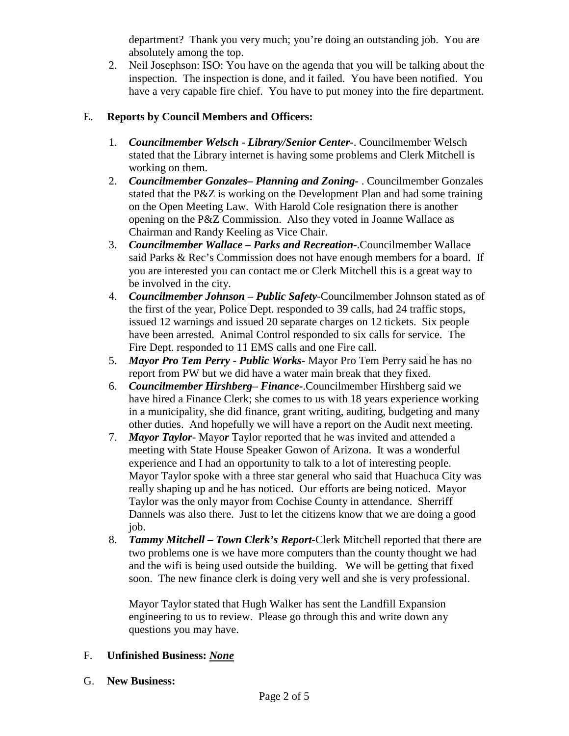department? Thank you very much; you're doing an outstanding job. You are absolutely among the top.

2. Neil Josephson: ISO: You have on the agenda that you will be talking about the inspection. The inspection is done, and it failed. You have been notified. You have a very capable fire chief. You have to put money into the fire department.

## E. **Reports by Council Members and Officers:**

- 1. *Councilmember Welsch - Library/Senior Center***-**. Councilmember Welsch stated that the Library internet is having some problems and Clerk Mitchell is working on them.
- 2. *Councilmember Gonzales***–** *Planning and Zoning-* . Councilmember Gonzales stated that the P&Z is working on the Development Plan and had some training on the Open Meeting Law. With Harold Cole resignation there is another opening on the P&Z Commission. Also they voted in Joanne Wallace as Chairman and Randy Keeling as Vice Chair.
- 3. *Councilmember Wallace* **–** *Parks and Recreation***-**.Councilmember Wallace said Parks & Rec's Commission does not have enough members for a board. If you are interested you can contact me or Clerk Mitchell this is a great way to be involved in the city.
- 4. *Councilmember Johnson – Public Safety-*Councilmember Johnson stated as of the first of the year, Police Dept. responded to 39 calls, had 24 traffic stops, issued 12 warnings and issued 20 separate charges on 12 tickets. Six people have been arrested. Animal Control responded to six calls for service. The Fire Dept. responded to 11 EMS calls and one Fire call.
- 5. *Mayor Pro Tem Perry Public Works-* Mayor Pro Tem Perry said he has no report from PW but we did have a water main break that they fixed.
- 6. *Councilmember Hirshberg***–** *Finance-*.Councilmember Hirshberg said we have hired a Finance Clerk; she comes to us with 18 years experience working in a municipality, she did finance, grant writing, auditing, budgeting and many other duties. And hopefully we will have a report on the Audit next meeting.
- 7. *Mayor Taylor* Mayo*r* Taylor reported that he was invited and attended a meeting with State House Speaker Gowon of Arizona. It was a wonderful experience and I had an opportunity to talk to a lot of interesting people. Mayor Taylor spoke with a three star general who said that Huachuca City was really shaping up and he has noticed. Our efforts are being noticed. Mayor Taylor was the only mayor from Cochise County in attendance. Sherriff Dannels was also there. Just to let the citizens know that we are doing a good job.
- 8. *Tammy Mitchell – Town Clerk's Report-*Clerk Mitchell reported that there are two problems one is we have more computers than the county thought we had and the wifi is being used outside the building. We will be getting that fixed soon. The new finance clerk is doing very well and she is very professional.

Mayor Taylor stated that Hugh Walker has sent the Landfill Expansion engineering to us to review. Please go through this and write down any questions you may have.

## F. **Unfinished Business:** *None*

#### G. **New Business:**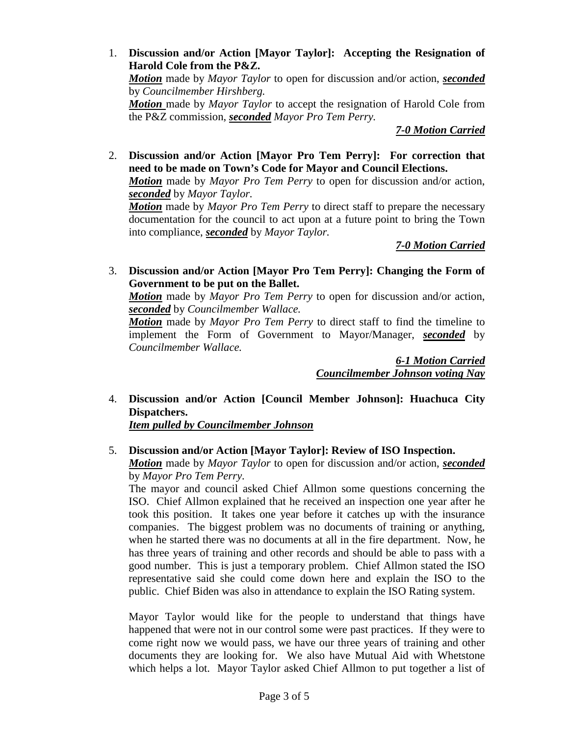1. **Discussion and/or Action [Mayor Taylor]: Accepting the Resignation of Harold Cole from the P&Z.** *Motion* made by *Mayor Taylor* to open for discussion and/or action, *seconded* by *Councilmember Hirshberg. Motion* made by *Mayor Taylor* to accept the resignation of Harold Cole from the P&Z commission, *seconded Mayor Pro Tem Perry.*

*7-0 Motion Carried*

2. **Discussion and/or Action [Mayor Pro Tem Perry]: For correction that need to be made on Town's Code for Mayor and Council Elections.**

*Motion* made by *Mayor Pro Tem Perry* to open for discussion and/or action, *seconded* by *Mayor Taylor.*

*Motion* made by *Mayor Pro Tem Perry* to direct staff to prepare the necessary documentation for the council to act upon at a future point to bring the Town into compliance, *seconded* by *Mayor Taylor.*

# *7-0 Motion Carried*

3. **Discussion and/or Action [Mayor Pro Tem Perry]: Changing the Form of Government to be put on the Ballet.**

*Motion* made by *Mayor Pro Tem Perry* to open for discussion and/or action, *seconded* by *Councilmember Wallace.*

*Motion* made by *Mayor Pro Tem Perry* to direct staff to find the timeline to implement the Form of Government to Mayor/Manager, *seconded* by *Councilmember Wallace.* 

> *6-1 Motion Carried Councilmember Johnson voting Nay*

4. **Discussion and/or Action [Council Member Johnson]: Huachuca City Dispatchers.**

*Item pulled by Councilmember Johnson*

## 5. **Discussion and/or Action [Mayor Taylor]: Review of ISO Inspection.** *Motion* made by *Mayor Taylor* to open for discussion and/or action, *seconded* by *Mayor Pro Tem Perry.*

The mayor and council asked Chief Allmon some questions concerning the ISO. Chief Allmon explained that he received an inspection one year after he took this position. It takes one year before it catches up with the insurance companies. The biggest problem was no documents of training or anything, when he started there was no documents at all in the fire department. Now, he has three years of training and other records and should be able to pass with a good number. This is just a temporary problem. Chief Allmon stated the ISO representative said she could come down here and explain the ISO to the public. Chief Biden was also in attendance to explain the ISO Rating system.

Mayor Taylor would like for the people to understand that things have happened that were not in our control some were past practices. If they were to come right now we would pass, we have our three years of training and other documents they are looking for. We also have Mutual Aid with Whetstone which helps a lot. Mayor Taylor asked Chief Allmon to put together a list of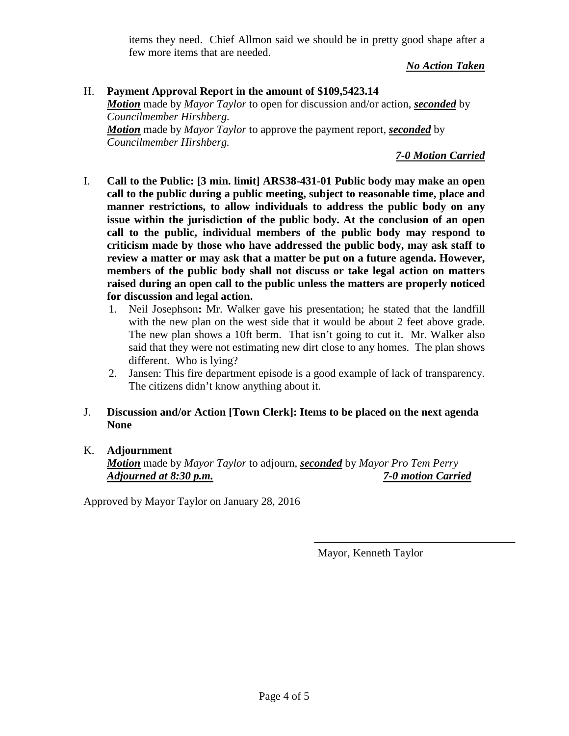items they need. Chief Allmon said we should be in pretty good shape after a few more items that are needed.

*No Action Taken*

### H. **Payment Approval Report in the amount of \$109,5423.14** *Motion* made by *Mayor Taylor* to open for discussion and/or action, *seconded* by *Councilmember Hirshberg. Motion* made by *Mayor Taylor* to approve the payment report, *seconded* by

*Councilmember Hirshberg.*

*7-0 Motion Carried*

- I. **Call to the Public: [3 min. limit] ARS38-431-01 Public body may make an open call to the public during a public meeting, subject to reasonable time, place and manner restrictions, to allow individuals to address the public body on any issue within the jurisdiction of the public body. At the conclusion of an open call to the public, individual members of the public body may respond to criticism made by those who have addressed the public body, may ask staff to review a matter or may ask that a matter be put on a future agenda. However, members of the public body shall not discuss or take legal action on matters raised during an open call to the public unless the matters are properly noticed for discussion and legal action.**
	- 1. Neil Josephson**:** Mr. Walker gave his presentation; he stated that the landfill with the new plan on the west side that it would be about 2 feet above grade. The new plan shows a 10ft berm. That isn't going to cut it. Mr. Walker also said that they were not estimating new dirt close to any homes. The plan shows different. Who is lying?
	- 2. Jansen: This fire department episode is a good example of lack of transparency. The citizens didn't know anything about it.

## J. **Discussion and/or Action [Town Clerk]: Items to be placed on the next agenda None**

# K. **Adjournment**

*Motion* made by *Mayor Taylor* to adjourn, *seconded* by *Mayor Pro Tem Perry Adjourned at 8:30 p.m. 7-0 motion Carried*

Approved by Mayor Taylor on January 28, 2016

Mayor, Kenneth Taylor